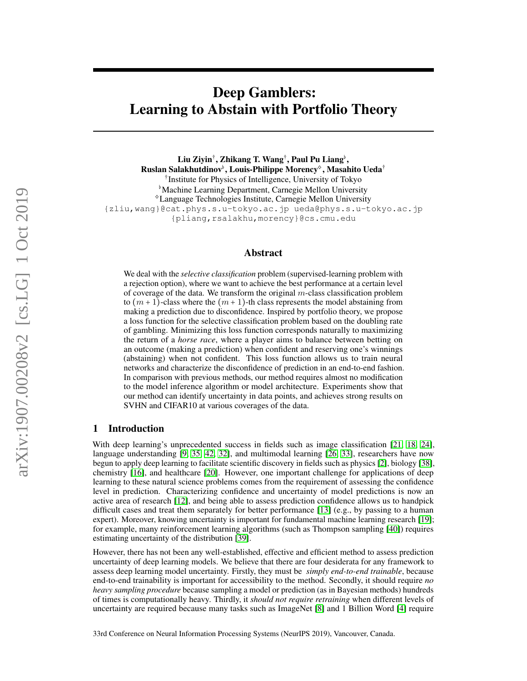# Deep Gamblers: Learning to Abstain with Portfolio Theory

Liu Ziyin†, Zhikang T. Wang†, Paul Pu Liang<sup>♭</sup>, Ruslan Salakhutdinov♭, Louis-Philippe Morency<sup>◇</sup>, Masahito Ueda† † Institute for Physics of Intelligence, University of Tokyo ♭Machine Learning Department, Carnegie Mellon University ♢Language Technologies Institute, Carnegie Mellon University {zliu,wang}@cat.phys.s.u-tokyo.ac.jp ueda@phys.s.u-tokyo.ac.jp {pliang,rsalakhu,morency}@cs.cmu.edu

## Abstract

We deal with the *selective classification* problem (supervised-learning problem with a rejection option), where we want to achieve the best performance at a certain level of coverage of the data. We transform the original  $m$ -class classification problem to  $(m + 1)$ -class where the  $(m + 1)$ -th class represents the model abstaining from making a prediction due to disconfidence. Inspired by portfolio theory, we propose a loss function for the selective classification problem based on the doubling rate of gambling. Minimizing this loss function corresponds naturally to maximizing the return of a *horse race*, where a player aims to balance between betting on an outcome (making a prediction) when confident and reserving one's winnings (abstaining) when not confident. This loss function allows us to train neural networks and characterize the disconfidence of prediction in an end-to-end fashion. In comparison with previous methods, our method requires almost no modification to the model inference algorithm or model architecture. Experiments show that our method can identify uncertainty in data points, and achieves strong results on SVHN and CIFAR10 at various coverages of the data.

## 1 Introduction

With deep learning's unprecedented success in fields such as image classification [\[21,](#page-9-0) [18,](#page-9-1) [24\]](#page-9-2), language understanding [\[9,](#page-8-0) [35,](#page-10-0) [42,](#page-10-1) [32\]](#page-9-3), and multimodal learning [\[26,](#page-9-4) [33\]](#page-9-5), researchers have now begun to apply deep learning to facilitate scientific discovery in fields such as physics [\[2\]](#page-8-1), biology [\[38\]](#page-10-2), chemistry [\[16\]](#page-9-6), and healthcare [\[20\]](#page-9-7). However, one important challenge for applications of deep learning to these natural science problems comes from the requirement of assessing the confidence level in prediction. Characterizing confidence and uncertainty of model predictions is now an active area of research [\[12\]](#page-8-2), and being able to assess prediction confidence allows us to handpick difficult cases and treat them separately for better performance [\[13\]](#page-9-8) (e.g., by passing to a human expert). Moreover, knowing uncertainty is important for fundamental machine learning research [\[19\]](#page-9-9); for example, many reinforcement learning algorithms (such as Thompson sampling [\[40\]](#page-10-3)) requires estimating uncertainty of the distribution [\[39\]](#page-10-4).

However, there has not been any well-established, effective and efficient method to assess prediction uncertainty of deep learning models. We believe that there are four desiderata for any framework to assess deep learning model uncertainty. Firstly, they must be *simply end-to-end trainable*, because end-to-end trainability is important for accessibility to the method. Secondly, it should require *no heavy sampling procedure* because sampling a model or prediction (as in Bayesian methods) hundreds of times is computationally heavy. Thirdly, it *should not require retraining* when different levels of uncertainty are required because many tasks such as ImageNet [\[8\]](#page-8-3) and 1 Billion Word [\[4\]](#page-8-4) require

33rd Conference on Neural Information Processing Systems (NeurIPS 2019), Vancouver, Canada.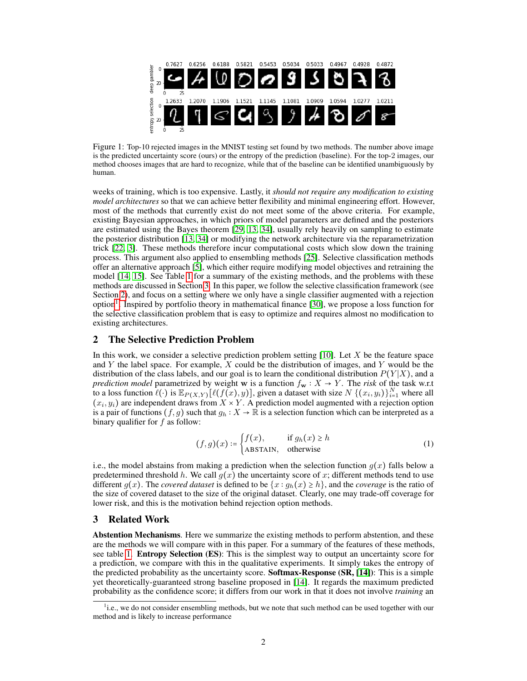<span id="page-1-4"></span>

Figure 1: Top-10 rejected images in the MNIST testing set found by two methods. The number above image is the predicted uncertainty score (ours) or the entropy of the prediction (baseline). For the top-2 images, our method chooses images that are hard to recognize, while that of the baseline can be identified unambiguously by human.

weeks of training, which is too expensive. Lastly, it *should not require any modification to existing model architectures* so that we can achieve better flexibility and minimal engineering effort. However, most of the methods that currently exist do not meet some of the above criteria. For example, existing Bayesian approaches, in which priors of model parameters are defined and the posteriors are estimated using the Bayes theorem [\[29,](#page-9-10) [13,](#page-9-8) [34\]](#page-10-5), usually rely heavily on sampling to estimate the posterior distribution [\[13,](#page-9-8) [34\]](#page-10-5) or modifying the network architecture via the reparametrization trick [\[22,](#page-9-11) [3\]](#page-8-5). These methods therefore incur computational costs which slow down the training process. This argument also applied to ensembling methods [\[25\]](#page-9-12). Selective classification methods offer an alternative approach [\[5\]](#page-8-6), which either require modifying model objectives and retraining the model [\[14,](#page-9-13) [15\]](#page-9-14). See Table [1](#page-2-0) for a summary of the existing methods, and the problems with these methods are discussed in Section [3.](#page-1-0) In this paper, we follow the selective classification framework (see Section [2\)](#page-1-1), and focus on a setting where we only have a single classifier augmented with a rejection option<sup>[1](#page-1-2)</sup>. Inspired by portfolio theory in mathematical finance [\[30\]](#page-9-15), we propose a loss function for the selective classification problem that is easy to optimize and requires almost no modification to existing architectures.

## <span id="page-1-1"></span>2 The Selective Prediction Problem

In this work, we consider a selective prediction problem setting  $[10]$ . Let X be the feature space and Y the label space. For example,  $X$  could be the distribution of images, and Y would be the distribution of the class labels, and our goal is to learn the conditional distribution  $P(Y|X)$ , and a *prediction model* parametrized by weight w is a function  $f_w : X \to Y$ . The *risk* of the task w.r.t to a loss function  $\ell(\cdot)$  is  $\mathbb{E}_{P(X,Y)}[\ell(f(x), y)]$ , given a dataset with size  $N \{(x_i, y_i)\}_{i=1}^N$  where all  $(x_i, y_i)$  are independent draws from  $X \times Y$ . A prediction model augmented with a rejection option is a pair of functions  $(f, g)$  such that  $g_h : X \to \mathbb{R}$  is a selection function which can be interpreted as a binary qualifier for  $f$  as follow:

<span id="page-1-3"></span>
$$
(f,g)(x) \coloneqq \begin{cases} f(x), & \text{if } g_h(x) \ge h \\ \text{ABSTAIN}, & \text{otherwise} \end{cases} \tag{1}
$$

i.e., the model abstains from making a prediction when the selection function  $g(x)$  falls below a predetermined threshold h. We call  $g(x)$  the uncertainty score of x; different methods tend to use different  $g(x)$ . The *covered dataset* is defined to be  $\{x : g_h(x) \ge h\}$ , and the *coverage* is the ratio of the size of covered dataset to the size of the original dataset. Clearly, one may trade-off coverage for lower risk, and this is the motivation behind rejection option methods.

## <span id="page-1-0"></span>3 Related Work

Abstention Mechanisms. Here we summarize the existing methods to perform abstention, and these are the methods we will compare with in this paper. For a summary of the features of these methods, see table [1.](#page-2-0) **Entropy Selection (ES)**: This is the simplest way to output an uncertainty score for a prediction, we compare with this in the qualitative experiments. It simply takes the entropy of the predicted probability as the uncertainty score. **Softmax-Response (SR, [\[14\]](#page-9-13)**): This is a simple yet theoretically-guaranteed strong baseline proposed in [\[14\]](#page-9-13). It regards the maximum predicted probability as the confidence score; it differs from our work in that it does not involve *training* an

<span id="page-1-2"></span><sup>&</sup>lt;sup>1</sup>i.e., we do not consider ensembling methods, but we note that such method can be used together with our method and is likely to increase performance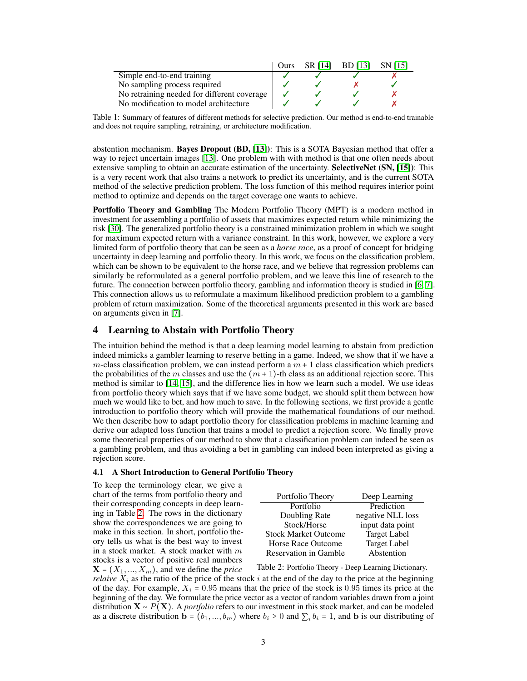<span id="page-2-0"></span>

|                                             | Ours | SR [14] | BD [13] | <b>SN</b> [15] |
|---------------------------------------------|------|---------|---------|----------------|
| Simple end-to-end training                  |      |         |         |                |
| No sampling process required                |      |         |         |                |
| No retraining needed for different coverage |      |         |         |                |
| No modification to model architecture       |      |         |         |                |

Table 1: Summary of features of different methods for selective prediction. Our method is end-to-end trainable and does not require sampling, retraining, or architecture modification.

abstention mechanism. Bayes Dropout (BD, [\[13\]](#page-9-8)): This is a SOTA Bayesian method that offer a way to reject uncertain images [\[13\]](#page-9-8). One problem with with method is that one often needs about extensive sampling to obtain an accurate estimation of the uncertainty. **SelectiveNet (SN, [\[15\]](#page-9-14)**): This is a very recent work that also trains a network to predict its uncertainty, and is the current SOTA method of the selective prediction problem. The loss function of this method requires interior point method to optimize and depends on the target coverage one wants to achieve.

Portfolio Theory and Gambling The Modern Portfolio Theory (MPT) is a modern method in investment for assembling a portfolio of assets that maximizes expected return while minimizing the risk [\[30\]](#page-9-15). The generalized portfolio theory is a constrained minimization problem in which we sought for maximum expected return with a variance constraint. In this work, however, we explore a very limited form of portfolio theory that can be seen as a *horse race*, as a proof of concept for bridging uncertainty in deep learning and portfolio theory. In this work, we focus on the classification problem, which can be shown to be equivalent to the horse race, and we believe that regression problems can similarly be reformulated as a general portfolio problem, and we leave this line of research to the future. The connection between portfolio theory, gambling and information theory is studied in [\[6,](#page-8-8) [7\]](#page-8-9). This connection allows us to reformulate a maximum likelihood prediction problem to a gambling problem of return maximization. Some of the theoretical arguments presented in this work are based on arguments given in [\[7\]](#page-8-9).

# 4 Learning to Abstain with Portfolio Theory

The intuition behind the method is that a deep learning model learning to abstain from prediction indeed mimicks a gambler learning to reserve betting in a game. Indeed, we show that if we have a m-class classification problem, we can instead perform a  $m + 1$  class classification which predicts the probabilities of the m classes and use the  $(m + 1)$ -th class as an additional rejection score. This method is similar to [\[14,](#page-9-13) [15\]](#page-9-14), and the difference lies in how we learn such a model. We use ideas from portfolio theory which says that if we have some budget, we should split them between how much we would like to bet, and how much to save. In the following sections, we first provide a gentle introduction to portfolio theory which will provide the mathematical foundations of our method. We then describe how to adapt portfolio theory for classification problems in machine learning and derive our adapted loss function that trains a model to predict a rejection score. We finally prove some theoretical properties of our method to show that a classification problem can indeed be seen as a gambling problem, and thus avoiding a bet in gambling can indeed been interpreted as giving a rejection score.

# 4.1 A Short Introduction to General Portfolio Theory

To keep the terminology clear, we give a chart of the terms from portfolio theory and their corresponding concepts in deep learning in Table [2.](#page-2-1) The rows in the dictionary show the correspondences we are going to make in this section. In short, portfolio theory tells us what is the best way to invest in a stock market. A stock market with  $m$ stocks is a vector of positive real numbers  $X = (X_1, ..., X_m)$ , and we define the *price* 

<span id="page-2-1"></span>

| Portfolio Theory             | Deep Learning       |
|------------------------------|---------------------|
| Portfolio                    | Prediction          |
| Doubling Rate                | negative NLL loss   |
| Stock/Horse                  | input data point    |
| <b>Stock Market Outcome</b>  | <b>Target Label</b> |
| <b>Horse Race Outcome</b>    | <b>Target Label</b> |
| <b>Reservation in Gamble</b> | Abstention          |

Table 2: Portfolio Theory - Deep Learning Dictionary.

*relaive*  $X_i$  as the ratio of the price of the stock i at the end of the day to the price at the beginning of the day. For example,  $X_i = 0.95$  means that the price of the stock is 0.95 times its price at the beginning of the day. We formulate the price vector as a vector of random variables drawn from a joint distribution X ∼ P(X). A *portfolio* refers to our investment in this stock market, and can be modeled as a discrete distribution  $\mathbf{b} = (b_1, ..., b_m)$  where  $b_i \geq 0$  and  $\sum_i b_i = 1$ , and  $\mathbf{b}$  is our distributing of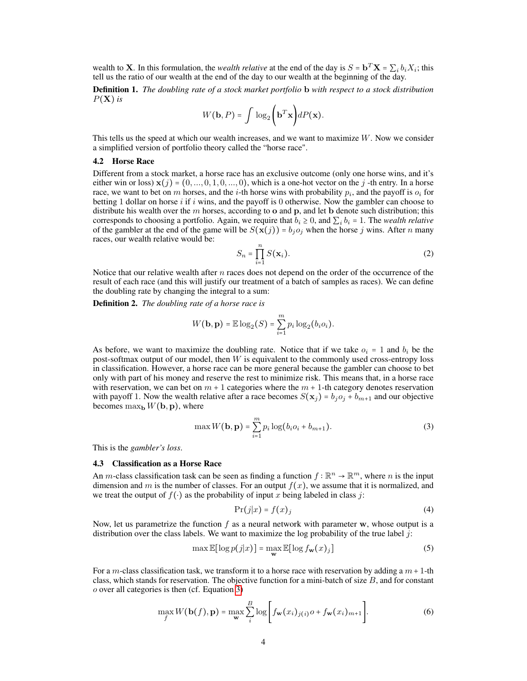wealth to **X**. In this formulation, the *wealth relative* at the end of the day is  $S = \mathbf{b}^T \mathbf{X} = \sum_i b_i X_i$ ; this tell us the ratio of our wealth at the end of the day to our wealth at the beginning of the day.

Definition 1. *The doubling rate of a stock market portfolio* b *with respect to a stock distribution*  $P(X)$  *is* 

$$
W(\mathbf{b}, P) = \int \log_2 \left( \mathbf{b}^T \mathbf{x} \right) dP(\mathbf{x}).
$$

This tells us the speed at which our wealth increases, and we want to maximize W. Now we consider a simplified version of portfolio theory called the "horse race".

#### 4.2 Horse Race

Different from a stock market, a horse race has an exclusive outcome (only one horse wins, and it's either win or loss)  $\mathbf{x}(j) = (0, ..., 0, 1, 0, ..., 0)$ , which is a one-hot vector on the j -th entry. In a horse race, we want to bet on m horses, and the *i*-th horse wins with probability  $p_i$ , and the payoff is  $o_i$  for betting 1 dollar on horse i if i wins, and the payoff is 0 otherwise. Now the gambler can choose to distribute his wealth over the m horses, according to o and p, and let b denote such distribution; this corresponds to choosing a portfolio. Again, we require that  $b_i \geq 0$ , and  $\sum_i b_i = 1$ . The *wealth relative* of the gambler at the end of the game will be  $S(\mathbf{x}(j)) = b_j o_j$  when the horse j wins. After n many races, our wealth relative would be:

$$
S_n = \prod_{i=1}^n S(\mathbf{x}_i). \tag{2}
$$

Notice that our relative wealth after  $n$  races does not depend on the order of the occurrence of the result of each race (and this will justify our treatment of a batch of samples as races). We can define the doubling rate by changing the integral to a sum:

<span id="page-3-1"></span>Definition 2. *The doubling rate of a horse race is*

$$
W(\mathbf{b}, \mathbf{p}) = \mathbb{E} \log_2(S) = \sum_{i=1}^m p_i \log_2(b_i o_i).
$$

As before, we want to maximize the doubling rate. Notice that if we take  $o_i = 1$  and  $b_i$  be the post-softmax output of our model, then  $W$  is equivalent to the commonly used cross-entropy loss in classification. However, a horse race can be more general because the gambler can choose to bet only with part of his money and reserve the rest to minimize risk. This means that, in a horse race with reservation, we can bet on  $m + 1$  categories where the  $m + 1$ -th category denotes reservation with payoff 1. Now the wealth relative after a race becomes  $S(\mathbf{x}_i) = b_i o_i + b_{m+1}$  and our objective becomes  $\max_{\mathbf{b}} W(\mathbf{b}, \mathbf{p})$ , where

<span id="page-3-0"></span>
$$
\max W(\mathbf{b}, \mathbf{p}) = \sum_{i=1}^{m} p_i \log (b_i o_i + b_{m+1}).
$$
\n(3)

This is the *gambler's loss*.

#### 4.3 Classification as a Horse Race

An m-class classification task can be seen as finding a function  $f : \mathbb{R}^n \to \mathbb{R}^m$ , where n is the input dimension and m is the number of classes. For an output  $f(x)$ , we assume that it is normalized, and we treat the output of  $f(\cdot)$  as the probability of input x being labeled in class j:

$$
\Pr(j|x) = f(x)_j \tag{4}
$$

Now, let us parametrize the function  $f$  as a neural network with parameter  $w$ , whose output is a distribution over the class labels. We want to maximize the log probability of the true label  $j$ :

$$
\max \mathbb{E}[\log p(j|x)] = \max_{\mathbf{w}} \mathbb{E}[\log f_{\mathbf{w}}(x)_j]
$$
(5)

For a m-class classification task, we transform it to a horse race with reservation by adding a  $m + 1$ -th class, which stands for reservation. The objective function for a mini-batch of size B, and for constant o over all categories is then (cf. Equation [3\)](#page-3-0)

$$
\max_{f} W(\mathbf{b}(f), \mathbf{p}) = \max_{\mathbf{w}} \sum_{i}^{B} \log \bigg[ f_{\mathbf{w}}(x_i)_{j(i)} o + f_{\mathbf{w}}(x_i)_{m+1} \bigg]. \tag{6}
$$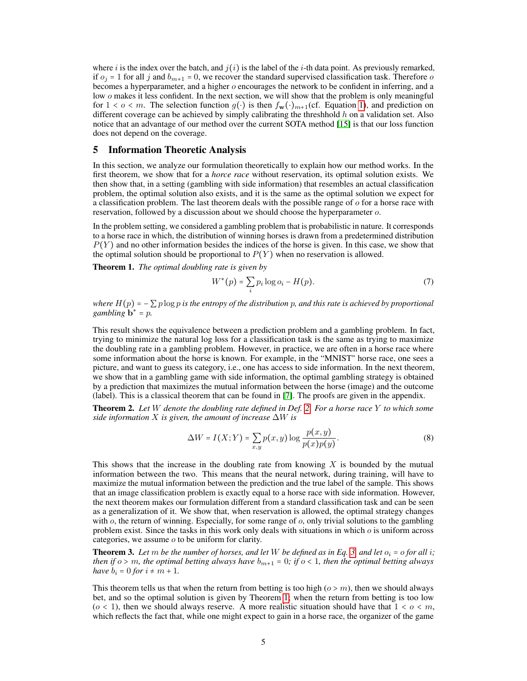where i is the index over the batch, and  $i(i)$  is the label of the i-th data point. As previously remarked, if  $o_i = 1$  for all j and  $b_{m+1} = 0$ , we recover the standard supervised classification task. Therefore o becomes a hyperparameter, and a higher  $o$  encourages the network to be confident in inferring, and a low  $\sigma$  makes it less confident. In the next section, we will show that the problem is only meaningful for  $1 < o < m$ . The selection function  $g(·)$  is then  $f_{\mathbf{w}}(·)_{m+1}$  (cf. Equation [1\)](#page-1-3), and prediction on different coverage can be achieved by simply calibrating the threshhold  $h$  on a validation set. Also notice that an advantage of our method over the current SOTA method [\[15\]](#page-9-14) is that our loss function does not depend on the coverage.

## 5 Information Theoretic Analysis

In this section, we analyze our formulation theoretically to explain how our method works. In the first theorem, we show that for a *horce race* without reservation, its optimal solution exists. We then show that, in a setting (gambling with side information) that resembles an actual classification problem, the optimal solution also exists, and it is the same as the optimal solution we expect for a classification problem. The last theorem deals with the possible range of  $\sigma$  for a horse race with reservation, followed by a discussion about we should choose the hyperparameter o.

In the problem setting, we considered a gambling problem that is probabilistic in nature. It corresponds to a horse race in which, the distribution of winning horses is drawn from a predetermined distribution  $P(Y)$  and no other information besides the indices of the horse is given. In this case, we show that the optimal solution should be proportional to  $P(Y)$  when no reservation is allowed.

<span id="page-4-0"></span>Theorem 1. *The optimal doubling rate is given by*

$$
W^*(p) = \sum_i p_i \log o_i - H(p). \tag{7}
$$

*where*  $H(p) = -\sum p \log p$  *is the entropy of the distribution* p, and this rate is achieved by proportional  $\sum_{n=1}^{\infty}$  *gambling* **b**<sup>\*</sup> = p.

This result shows the equivalence between a prediction problem and a gambling problem. In fact, trying to minimize the natural log loss for a classification task is the same as trying to maximize the doubling rate in a gambling problem. However, in practice, we are often in a horse race where some information about the horse is known. For example, in the "MNIST" horse race, one sees a picture, and want to guess its category, i.e., one has access to side information. In the next theorem, we show that in a gambling game with side information, the optimal gambling strategy is obtained by a prediction that maximizes the mutual information between the horse (image) and the outcome (label). This is a classical theorem that can be found in [\[7\]](#page-8-9). The proofs are given in the appendix.

Theorem 2. *Let* W *denote the doubling rate defined in Def. [2.](#page-3-1) For a horse race* Y *to which some side information* X *is given, the amount of increase* ∆W *is*

$$
\Delta W = I(X;Y) = \sum_{x,y} p(x,y) \log \frac{p(x,y)}{p(x)p(y)}.\tag{8}
$$

This shows that the increase in the doubling rate from knowing  $X$  is bounded by the mutual information between the two. This means that the neural network, during training, will have to maximize the mutual information between the prediction and the true label of the sample. This shows that an image classification problem is exactly equal to a horse race with side information. However, the next theorem makes our formulation different from a standard classification task and can be seen as a generalization of it. We show that, when reservation is allowed, the optimal strategy changes with  $o$ , the return of winning. Especially, for some range of  $o$ , only trivial solutions to the gambling problem exist. Since the tasks in this work only deals with situations in which  $\sigma$  is uniform across categories, we assume o to be uniform for clarity.

**Theorem 3.** Let m be the number of horses, and let W be defined as in Eq. [3,](#page-3-0) and let  $o_i = o$  for all i; *then if*  $o > m$ *, the optimal betting always have*  $b_{m+1} = 0$ *; if*  $o < 1$ *, then the optimal betting always have*  $b_i = 0$  *for*  $i \neq m + 1$ *.* 

This theorem tells us that when the return from betting is too high ( $o > m$ ), then we should always bet, and so the optimal solution is given by Theorem [1;](#page-4-0) when the return from betting is too low  $(o < 1)$ , then we should always reserve. A more realistic situation should have that  $1 < o < m$ , which reflects the fact that, while one might expect to gain in a horse race, the organizer of the game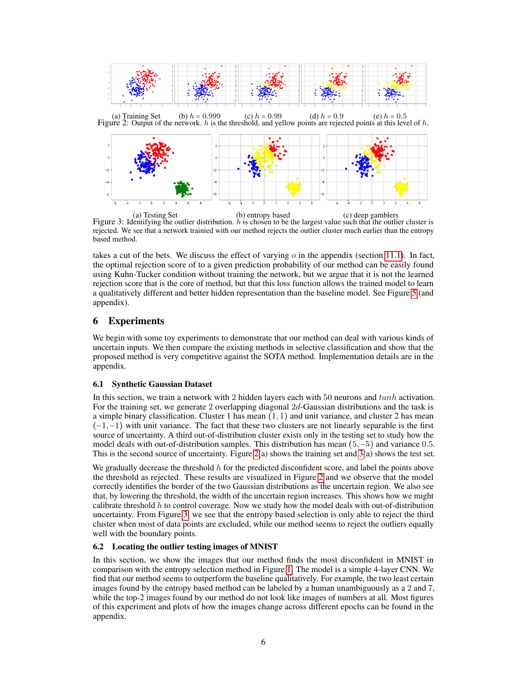<span id="page-5-1"></span><span id="page-5-0"></span>

(a) Testing Set (b) entropy based (c) deep gamblers<br>Figure 3: Identifying the outlier distribution. *h* is chosen to be the largest value such that the outlier cluster is rejected. We see that a network trainied with our method rejects the outlier cluster much earlier than the entropy based method.

takes a cut of the bets. We discuss the effect of varying  $o$  in the appendix (section [11.1\)](#page-13-0). In fact, the optimal rejection score of to a given prediction probability of our method can be easily found using Kuhn-Tucker condition without training the network, but we argue that it is not the learned rejection score that is the core of method, but that this loss function allows the trained model to learn a qualitatively different and better hidden representation than the baseline model. See Figure [5](#page-7-0) (and appendix).

# 6 Experiments

We begin with some toy experiments to demonstrate that our method can deal with various kinds of uncertain inputs. We then compare the existing methods in selective classification and show that the proposed method is very competitive against the SOTA method. Implementation details are in the appendix.

## 6.1 Synthetic Gaussian Dataset

In this section, we train a network with 2 hidden layers each with 50 neurons and tanh activation. For the training set, we generate 2 overlapping diagonal 2d-Gaussian distributions and the task is a simple binary classification. Cluster 1 has mean  $(1, 1)$  and unit variance, and cluster 2 has mean  $(-1,-1)$  with unit variance. The fact that these two clusters are not linearly separable is the first source of uncertainty. A third out-of-distribution cluster exists only in the testing set to study how the model deals with out-of-distribution samples. This distribution has mean (5,−5) and variance 0.5. This is the second source of uncertainty. Figure [2\(](#page-5-0)a) shows the training set and [3\(](#page-5-1)a) shows the test set.

We gradually decrease the threshold  $h$  for the predicted disconfident score, and label the points above the threshold as rejected. These results are visualized in Figure [2](#page-5-0) and we observe that the model correctly identifies the border of the two Gaussian distributions as the uncertain region. We also see that, by lowering the threshold, the width of the uncertain region increases. This shows how we might calibrate threshold  $h$  to control coverage. Now we study how the model deals with out-of-distribution uncertainty. From Figure [3,](#page-5-1) we see that the entropy based selection is only able to reject the third cluster when most of data points are excluded, while our method seems to reject the outliers equally well with the boundary points.

## 6.2 Locating the outlier testing images of MNIST

In this section, we show the images that our method finds the most disconfident in MNIST in comparison with the entropy selection method in Figure [1.](#page-1-4) The model is a simple 4-layer CNN. We find that our method seems to outperform the baseline qualitatively. For example, the two least certain images found by the entropy based method can be labeled by a human unambiguously as a 2 and 7, while the top-2 images found by our method do not look like images of numbers at all. Most figures of this experiment and plots of how the images change across different epochs can be found in the appendix.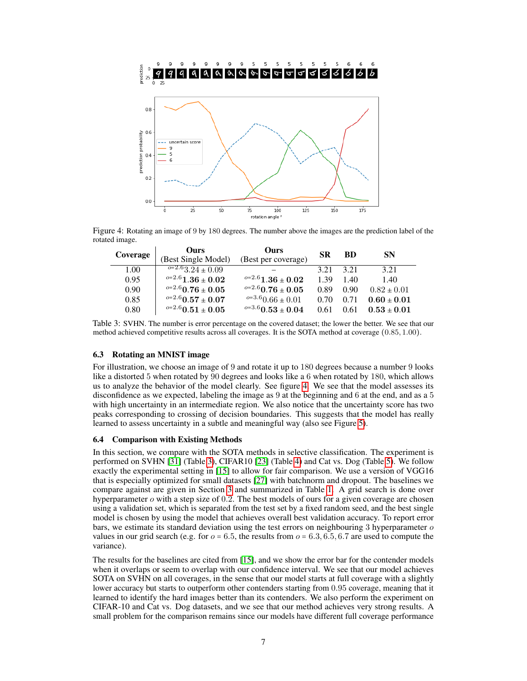<span id="page-6-0"></span>

<span id="page-6-1"></span>Figure 4: Rotating an image of 9 by 180 degrees. The number above the images are the prediction label of the rotated image.

| Coverage | Ours                          | <b>Ours</b>             | <b>SR</b> | <b>BD</b> | <b>SN</b>       |
|----------|-------------------------------|-------------------------|-----------|-----------|-----------------|
|          | (Best Single Model)           | (Best per coverage)     |           |           |                 |
| 1.00     | $\frac{6-2.6}{3.24 \pm 0.09}$ |                         | 3.21      | 3.21      | 3.21            |
| 0.95     | $^{o=2.6}1.36\pm0.02$         | $^{o=2.6}1.36 \pm 0.02$ | 1.39      | 1.40      | 1.40            |
| 0.90     | $^{o=2.6}$ 0.76 ± 0.05        | $^{o=2.6}$ 0.76 ± 0.05  | 0.89      | 0.90      | $0.82 \pm 0.01$ |
| 0.85     | $^{o=2.6}$ 0.57 ± 0.07        | $^{o=3.6}$ 0.66 ± 0.01  | 0.70      | 0.71      | $0.60 \pm 0.01$ |
| 0.80     | $^{o=2.6}$ 0.51 $\pm$ 0.05    | $^{o=3.6}$ 0.53 ± 0.04  | 0.61      | 0.61      | $0.53 \pm 0.01$ |

Table 3: SVHN. The number is error percentage on the covered dataset; the lower the better. We see that our method achieved competitive results across all coverages. It is the SOTA method at coverage (0.85, 1.00).

## 6.3 Rotating an MNIST image

For illustration, we choose an image of 9 and rotate it up to 180 degrees because a number 9 looks like a distorted 5 when rotated by 90 degrees and looks like a 6 when rotated by 180, which allows us to analyze the behavior of the model clearly. See figure [4.](#page-6-0) We see that the model assesses its disconfidence as we expected, labeling the image as 9 at the beginning and 6 at the end, and as a 5 with high uncertainty in an intermediate region. We also notice that the uncertainty score has two peaks corresponding to crossing of decision boundaries. This suggests that the model has really learned to assess uncertainty in a subtle and meaningful way (also see Figure [5\)](#page-7-0).

## 6.4 Comparison with Existing Methods

In this section, we compare with the SOTA methods in selective classification. The experiment is performed on SVHN [\[31\]](#page-9-16) (Table [3\)](#page-6-1), CIFAR10 [\[23\]](#page-9-17) (Table [4\)](#page-7-1) and Cat vs. Dog (Table [5\)](#page-7-2). We follow exactly the experimental setting in [\[15\]](#page-9-14) to allow for fair comparison. We use a version of VGG16 that is especially optimized for small datasets [\[27\]](#page-9-18) with batchnorm and dropout. The baselines we compare against are given in Section [3](#page-1-0) and summarized in Table [1.](#page-2-0) A grid search is done over hyperparameter  $\alpha$  with a step size of 0.2. The best models of ours for a given coverage are chosen using a validation set, which is separated from the test set by a fixed random seed, and the best single model is chosen by using the model that achieves overall best validation accuracy. To report error bars, we estimate its standard deviation using the test errors on neighbouring 3 hyperparameter  $\sigma$ values in our grid search (e.g. for  $o = 6.5$ , the results from  $o = 6.3, 6.5, 6.7$  are used to compute the variance).

The results for the baselines are cited from [\[15\]](#page-9-14), and we show the error bar for the contender models when it overlaps or seem to overlap with our confidence interval. We see that our model achieves SOTA on SVHN on all coverages, in the sense that our model starts at full coverage with a slightly lower accuracy but starts to outperform other contenders starting from 0.95 coverage, meaning that it learned to identify the hard images better than its contenders. We also perform the experiment on CIFAR-10 and Cat vs. Dog datasets, and we see that our method achieves very strong results. A small problem for the comparison remains since our models have different full coverage performance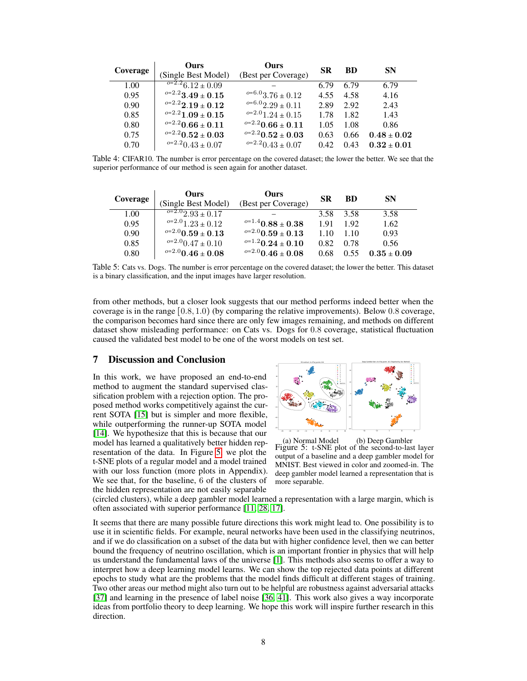<span id="page-7-1"></span>

| Coverage | <b>Ours</b>                     | <b>Ours</b>              | <b>SR</b> | <b>BD</b> | <b>SN</b>       |
|----------|---------------------------------|--------------------------|-----------|-----------|-----------------|
|          | (Single Best Model)             | (Best per Coverage)      |           |           |                 |
| 1.00     | $\sqrt{0.2226 \cdot 12 + 0.09}$ |                          | 6.79      | 6.79      | 6.79            |
| 0.95     | $^{o=2.2}3.49\pm0.15$           | $^{o=6.0}3.76 \pm 0.12$  | 4.55      | 4.58      | 4.16            |
| 0.90     | $^{o=2.2}$ 2.19 ± 0.12          | $^{o=6.0}2.29 \pm 0.11$  | 2.89      | 2.92      | 2.43            |
| 0.85     | $e^{-2.2}1.09 \pm 0.15$         | $^{o=2.0}1.24 \pm 0.15$  | 1.78      | 1.82      | 1.43            |
| 0.80     | $^{o=2.2}$ 0.66 ± 0.11          | $^{o=2.2}$ 0.66 ± 0.11   | 1.05      | 1.08      | 0.86            |
| 0.75     | $e^{-2.2}0.52\pm0.03$           | $^{o=2.2} 0.52 \pm 0.03$ | 0.63      | 0.66      | $0.48 \pm 0.02$ |
| 0.70     | $e^{-2.2}0.43 \pm 0.07$         | $^{o=2.2}$ 0.43 ± 0.07   | 0.42      | 0.43      | $0.32 \pm 0.01$ |

Table 4: CIFAR10. The number is error percentage on the covered dataset; the lower the better. We see that the superior performance of our method is seen again for another dataset.

<span id="page-7-2"></span>

| Coverage | <b>Ours</b><br>(Single Best Model) | <b>Ours</b><br>(Best per Coverage) | <b>SR</b> | <b>BD</b> | <b>SN</b>       |
|----------|------------------------------------|------------------------------------|-----------|-----------|-----------------|
| 1.00     | $\sqrt{0=2.02.93\pm 0.17}$         |                                    | 3.58      | 3.58      | 3.58            |
| 0.95     | $^{o=2.0}1.23 \pm 0.12$            | $^{o=1.4}$ 0.88 ± 0.38             | 1.91      | 1.92      | 1.62            |
| 0.90     | $^{o=2.0}$ 0.59 ± 0.13             | $^{o=2.0}$ 0.59 ± 0.13             | 1.10      | 1.10      | 0.93            |
| 0.85     | $^{o=2.0}$ 0.47 ± 0.10             | $^{o=1.2}$ 0.24 ± 0.10             | 0.82      | 0.78      | 0.56            |
| 0.80     | $^{o=2.0}$ 0.46 ± 0.08             | $^{o=2.0}$ 0.46 ± 0.08             | 0.68      | 0.55      | $0.35 \pm 0.09$ |

Table 5: Cats vs. Dogs. The number is error percentage on the covered dataset; the lower the better. This dataset is a binary classification, and the input images have larger resolution.

from other methods, but a closer look suggests that our method performs indeed better when the coverage is in the range  $(0.8, 1.0)$  (by comparing the relative improvements). Below 0.8 coverage, the comparison becomes hard since there are only few images remaining, and methods on different dataset show misleading performance: on Cats vs. Dogs for 0.8 coverage, statistical fluctuation caused the validated best model to be one of the worst models on test set.

# 7 Discussion and Conclusion

In this work, we have proposed an end-to-end method to augment the standard supervised classification problem with a rejection option. The proposed method works competitively against the current SOTA [\[15\]](#page-9-14) but is simpler and more flexible, while outperforming the runner-up SOTA model [\[14\]](#page-9-13). We hypothesize that this is because that our model has learned a qualitatively better hidden representation of the data. In Figure [5,](#page-7-0) we plot the t-SNE plots of a regular model and a model trained with our loss function (more plots in Appendix). We see that, for the baseline, 6 of the clusters of the hidden representation are not easily separable

<span id="page-7-0"></span>

(a) Normal Model (b) Deep Gambler Figure 5: t-SNE plot of the second-to-last layer output of a baseline and a deep gambler model for MNIST. Best viewed in color and zoomed-in. The deep gambler model learned a representation that is more separable.

(circled clusters), while a deep gambler model learned a representation with a large margin, which is often associated with superior performance [\[11,](#page-8-10) [28,](#page-9-19) [17\]](#page-9-20).

It seems that there are many possible future directions this work might lead to. One possibility is to use it in scientific fields. For example, neural networks have been used in the classifying neutrinos, and if we do classification on a subset of the data but with higher confidence level, then we can better bound the frequency of neutrino oscillation, which is an important frontier in physics that will help us understand the fundamental laws of the universe [\[1\]](#page-8-11). This methods also seems to offer a way to interpret how a deep learning model learns. We can show the top rejected data points at different epochs to study what are the problems that the model finds difficult at different stages of training. Two other areas our method might also turn out to be helpful are robustness against adversarial attacks [\[37\]](#page-10-6) and learning in the presence of label noise [\[36,](#page-10-7) [41\]](#page-10-8). This work also gives a way incorporate ideas from portfolio theory to deep learning. We hope this work will inspire further research in this direction.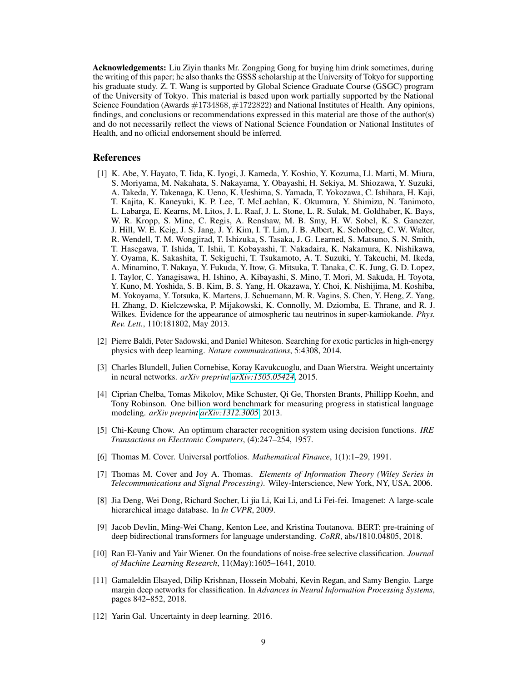Acknowledgements: Liu Ziyin thanks Mr. Zongping Gong for buying him drink sometimes, during the writing of this paper; he also thanks the GSSS scholarship at the University of Tokyo for supporting his graduate study. Z. T. Wang is supported by Global Science Graduate Course (GSGC) program of the University of Tokyo. This material is based upon work partially supported by the National Science Foundation (Awards #1734868, #1722822) and National Institutes of Health. Any opinions, findings, and conclusions or recommendations expressed in this material are those of the author(s) and do not necessarily reflect the views of National Science Foundation or National Institutes of Health, and no official endorsement should be inferred.

## References

- <span id="page-8-11"></span>[1] K. Abe, Y. Hayato, T. Iida, K. Iyogi, J. Kameda, Y. Koshio, Y. Kozuma, Ll. Marti, M. Miura, S. Moriyama, M. Nakahata, S. Nakayama, Y. Obayashi, H. Sekiya, M. Shiozawa, Y. Suzuki, A. Takeda, Y. Takenaga, K. Ueno, K. Ueshima, S. Yamada, T. Yokozawa, C. Ishihara, H. Kaji, T. Kajita, K. Kaneyuki, K. P. Lee, T. McLachlan, K. Okumura, Y. Shimizu, N. Tanimoto, L. Labarga, E. Kearns, M. Litos, J. L. Raaf, J. L. Stone, L. R. Sulak, M. Goldhaber, K. Bays, W. R. Kropp, S. Mine, C. Regis, A. Renshaw, M. B. Smy, H. W. Sobel, K. S. Ganezer, J. Hill, W. E. Keig, J. S. Jang, J. Y. Kim, I. T. Lim, J. B. Albert, K. Scholberg, C. W. Walter, R. Wendell, T. M. Wongjirad, T. Ishizuka, S. Tasaka, J. G. Learned, S. Matsuno, S. N. Smith, T. Hasegawa, T. Ishida, T. Ishii, T. Kobayashi, T. Nakadaira, K. Nakamura, K. Nishikawa, Y. Oyama, K. Sakashita, T. Sekiguchi, T. Tsukamoto, A. T. Suzuki, Y. Takeuchi, M. Ikeda, A. Minamino, T. Nakaya, Y. Fukuda, Y. Itow, G. Mitsuka, T. Tanaka, C. K. Jung, G. D. Lopez, I. Taylor, C. Yanagisawa, H. Ishino, A. Kibayashi, S. Mino, T. Mori, M. Sakuda, H. Toyota, Y. Kuno, M. Yoshida, S. B. Kim, B. S. Yang, H. Okazawa, Y. Choi, K. Nishijima, M. Koshiba, M. Yokoyama, Y. Totsuka, K. Martens, J. Schuemann, M. R. Vagins, S. Chen, Y. Heng, Z. Yang, H. Zhang, D. Kielczewska, P. Mijakowski, K. Connolly, M. Dziomba, E. Thrane, and R. J. Wilkes. Evidence for the appearance of atmospheric tau neutrinos in super-kamiokande. *Phys. Rev. Lett.*, 110:181802, May 2013.
- <span id="page-8-1"></span>[2] Pierre Baldi, Peter Sadowski, and Daniel Whiteson. Searching for exotic particles in high-energy physics with deep learning. *Nature communications*, 5:4308, 2014.
- <span id="page-8-5"></span>[3] Charles Blundell, Julien Cornebise, Koray Kavukcuoglu, and Daan Wierstra. Weight uncertainty in neural networks. *arXiv preprint [arXiv:1505.05424](http://arxiv.org/abs/1505.05424)*, 2015.
- <span id="page-8-4"></span>[4] Ciprian Chelba, Tomas Mikolov, Mike Schuster, Qi Ge, Thorsten Brants, Phillipp Koehn, and Tony Robinson. One billion word benchmark for measuring progress in statistical language modeling. *arXiv preprint [arXiv:1312.3005](http://arxiv.org/abs/1312.3005)*, 2013.
- <span id="page-8-6"></span>[5] Chi-Keung Chow. An optimum character recognition system using decision functions. *IRE Transactions on Electronic Computers*, (4):247–254, 1957.
- <span id="page-8-8"></span>[6] Thomas M. Cover. Universal portfolios. *Mathematical Finance*, 1(1):1–29, 1991.
- <span id="page-8-9"></span>[7] Thomas M. Cover and Joy A. Thomas. *Elements of Information Theory (Wiley Series in Telecommunications and Signal Processing)*. Wiley-Interscience, New York, NY, USA, 2006.
- <span id="page-8-3"></span>[8] Jia Deng, Wei Dong, Richard Socher, Li jia Li, Kai Li, and Li Fei-fei. Imagenet: A large-scale hierarchical image database. In *In CVPR*, 2009.
- <span id="page-8-0"></span>[9] Jacob Devlin, Ming-Wei Chang, Kenton Lee, and Kristina Toutanova. BERT: pre-training of deep bidirectional transformers for language understanding. *CoRR*, abs/1810.04805, 2018.
- <span id="page-8-7"></span>[10] Ran El-Yaniv and Yair Wiener. On the foundations of noise-free selective classification. *Journal of Machine Learning Research*, 11(May):1605–1641, 2010.
- <span id="page-8-10"></span>[11] Gamaleldin Elsayed, Dilip Krishnan, Hossein Mobahi, Kevin Regan, and Samy Bengio. Large margin deep networks for classification. In *Advances in Neural Information Processing Systems*, pages 842–852, 2018.
- <span id="page-8-2"></span>[12] Yarin Gal. Uncertainty in deep learning. 2016.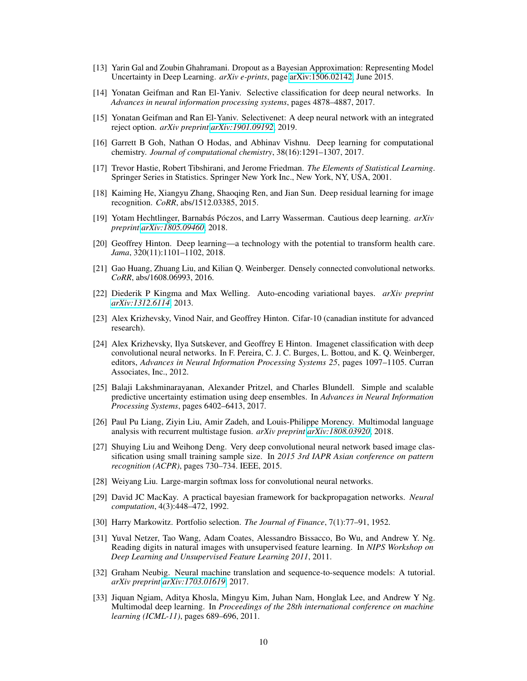- <span id="page-9-8"></span>[13] Yarin Gal and Zoubin Ghahramani. Dropout as a Bayesian Approximation: Representing Model Uncertainty in Deep Learning. *arXiv e-prints*, page [arXiv:1506.02142,](http://arxiv.org/abs/1506.02142) June 2015.
- <span id="page-9-13"></span>[14] Yonatan Geifman and Ran El-Yaniv. Selective classification for deep neural networks. In *Advances in neural information processing systems*, pages 4878–4887, 2017.
- <span id="page-9-14"></span>[15] Yonatan Geifman and Ran El-Yaniv. Selectivenet: A deep neural network with an integrated reject option. *arXiv preprint [arXiv:1901.09192](http://arxiv.org/abs/1901.09192)*, 2019.
- <span id="page-9-6"></span>[16] Garrett B Goh, Nathan O Hodas, and Abhinav Vishnu. Deep learning for computational chemistry. *Journal of computational chemistry*, 38(16):1291–1307, 2017.
- <span id="page-9-20"></span>[17] Trevor Hastie, Robert Tibshirani, and Jerome Friedman. *The Elements of Statistical Learning*. Springer Series in Statistics. Springer New York Inc., New York, NY, USA, 2001.
- <span id="page-9-1"></span>[18] Kaiming He, Xiangyu Zhang, Shaoqing Ren, and Jian Sun. Deep residual learning for image recognition. *CoRR*, abs/1512.03385, 2015.
- <span id="page-9-9"></span>[19] Yotam Hechtlinger, Barnabás Póczos, and Larry Wasserman. Cautious deep learning. *arXiv preprint [arXiv:1805.09460](http://arxiv.org/abs/1805.09460)*, 2018.
- <span id="page-9-7"></span>[20] Geoffrey Hinton. Deep learning—a technology with the potential to transform health care. *Jama*, 320(11):1101–1102, 2018.
- <span id="page-9-0"></span>[21] Gao Huang, Zhuang Liu, and Kilian Q. Weinberger. Densely connected convolutional networks. *CoRR*, abs/1608.06993, 2016.
- <span id="page-9-11"></span>[22] Diederik P Kingma and Max Welling. Auto-encoding variational bayes. *arXiv preprint [arXiv:1312.6114](http://arxiv.org/abs/1312.6114)*, 2013.
- <span id="page-9-17"></span>[23] Alex Krizhevsky, Vinod Nair, and Geoffrey Hinton. Cifar-10 (canadian institute for advanced research).
- <span id="page-9-2"></span>[24] Alex Krizhevsky, Ilya Sutskever, and Geoffrey E Hinton. Imagenet classification with deep convolutional neural networks. In F. Pereira, C. J. C. Burges, L. Bottou, and K. Q. Weinberger, editors, *Advances in Neural Information Processing Systems 25*, pages 1097–1105. Curran Associates, Inc., 2012.
- <span id="page-9-12"></span>[25] Balaji Lakshminarayanan, Alexander Pritzel, and Charles Blundell. Simple and scalable predictive uncertainty estimation using deep ensembles. In *Advances in Neural Information Processing Systems*, pages 6402–6413, 2017.
- <span id="page-9-4"></span>[26] Paul Pu Liang, Ziyin Liu, Amir Zadeh, and Louis-Philippe Morency. Multimodal language analysis with recurrent multistage fusion. *arXiv preprint [arXiv:1808.03920](http://arxiv.org/abs/1808.03920)*, 2018.
- <span id="page-9-18"></span>[27] Shuying Liu and Weihong Deng. Very deep convolutional neural network based image classification using small training sample size. In *2015 3rd IAPR Asian conference on pattern recognition (ACPR)*, pages 730–734. IEEE, 2015.
- <span id="page-9-19"></span>[28] Weiyang Liu. Large-margin softmax loss for convolutional neural networks.
- <span id="page-9-10"></span>[29] David JC MacKay. A practical bayesian framework for backpropagation networks. *Neural computation*, 4(3):448–472, 1992.
- <span id="page-9-15"></span>[30] Harry Markowitz. Portfolio selection. *The Journal of Finance*, 7(1):77–91, 1952.
- <span id="page-9-16"></span>[31] Yuval Netzer, Tao Wang, Adam Coates, Alessandro Bissacco, Bo Wu, and Andrew Y. Ng. Reading digits in natural images with unsupervised feature learning. In *NIPS Workshop on Deep Learning and Unsupervised Feature Learning 2011*, 2011.
- <span id="page-9-3"></span>[32] Graham Neubig. Neural machine translation and sequence-to-sequence models: A tutorial. *arXiv preprint [arXiv:1703.01619](http://arxiv.org/abs/1703.01619)*, 2017.
- <span id="page-9-5"></span>[33] Jiquan Ngiam, Aditya Khosla, Mingyu Kim, Juhan Nam, Honglak Lee, and Andrew Y Ng. Multimodal deep learning. In *Proceedings of the 28th international conference on machine learning (ICML-11)*, pages 689–696, 2011.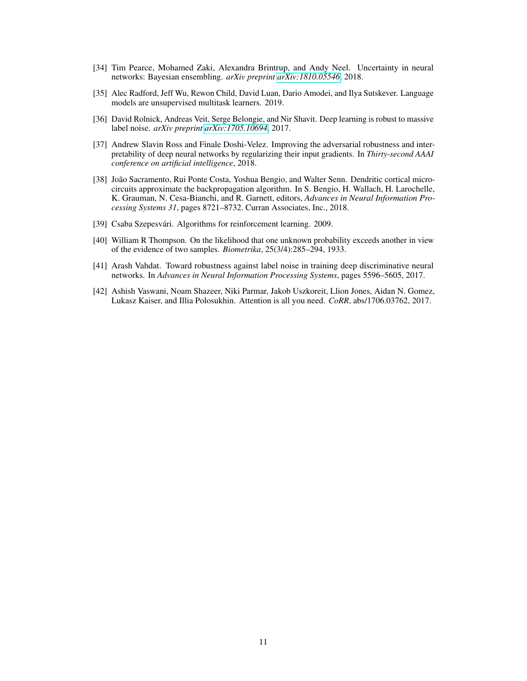- <span id="page-10-5"></span>[34] Tim Pearce, Mohamed Zaki, Alexandra Brintrup, and Andy Neel. Uncertainty in neural networks: Bayesian ensembling. *arXiv preprint [arXiv:1810.05546](http://arxiv.org/abs/1810.05546)*, 2018.
- <span id="page-10-0"></span>[35] Alec Radford, Jeff Wu, Rewon Child, David Luan, Dario Amodei, and Ilya Sutskever. Language models are unsupervised multitask learners. 2019.
- <span id="page-10-7"></span>[36] David Rolnick, Andreas Veit, Serge Belongie, and Nir Shavit. Deep learning is robust to massive label noise. *arXiv preprint [arXiv:1705.10694](http://arxiv.org/abs/1705.10694)*, 2017.
- <span id="page-10-6"></span>[37] Andrew Slavin Ross and Finale Doshi-Velez. Improving the adversarial robustness and interpretability of deep neural networks by regularizing their input gradients. In *Thirty-second AAAI conference on artificial intelligence*, 2018.
- <span id="page-10-2"></span>[38] João Sacramento, Rui Ponte Costa, Yoshua Bengio, and Walter Senn. Dendritic cortical microcircuits approximate the backpropagation algorithm. In S. Bengio, H. Wallach, H. Larochelle, K. Grauman, N. Cesa-Bianchi, and R. Garnett, editors, *Advances in Neural Information Processing Systems 31*, pages 8721–8732. Curran Associates, Inc., 2018.
- <span id="page-10-4"></span>[39] Csaba Szepesvári. Algorithms for reinforcement learning. 2009.
- <span id="page-10-3"></span>[40] William R Thompson. On the likelihood that one unknown probability exceeds another in view of the evidence of two samples. *Biometrika*, 25(3/4):285–294, 1933.
- <span id="page-10-8"></span>[41] Arash Vahdat. Toward robustness against label noise in training deep discriminative neural networks. In *Advances in Neural Information Processing Systems*, pages 5596–5605, 2017.
- <span id="page-10-1"></span>[42] Ashish Vaswani, Noam Shazeer, Niki Parmar, Jakob Uszkoreit, Llion Jones, Aidan N. Gomez, Lukasz Kaiser, and Illia Polosukhin. Attention is all you need. *CoRR*, abs/1706.03762, 2017.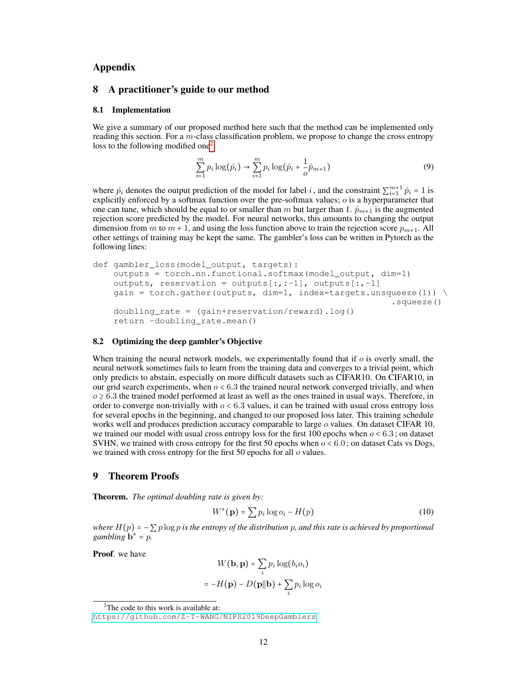## Appendix

#### 8 A practitioner's guide to our method

#### 8.1 Implementation

We give a summary of our proposed method here such that the method can be implemented only reading this section. For a m-class classification problem, we propose to change the cross entropy loss to the following modified one<sup>[2](#page-11-0)</sup>:

$$
\sum_{i=1}^{m} p_i \log(\hat{p}_i) \to \sum_{i=1}^{m} p_i \log(\hat{p}_i + \frac{1}{o} \hat{p}_{m+1})
$$
\n(9)

where  $\hat{p}_i$  denotes the output prediction of the model for label i, and the constraint  $\sum_{i=1}^{m+1} \hat{p}_i = 1$  is explicitly enforced by a softmax function over the pre-softmax values;  $o$  is a hyperparameter that one can tune, which should be equal to or smaller than m but larger than 1.  $\hat{p}_{m+1}$  is the augmented rejection score predicted by the model. For neural networks, this amounts to changing the output dimension from m to  $m + 1$ , and using the loss function above to train the rejection score  $p_{m+1}$ . All other settings of training may be kept the same. The gambler's loss can be written in Pytorch as the following lines:

```
def gambler_loss(model_output, targets):
outputs = torch.nn.functional.softmax(model_output, dim=1)
outputs, reservation = outputs[:,:-1], outputs[:, -1]qain = torch.gather(outputs, \dim=1, index=targets.unsqueeze(1)) \
                                                        .squeeze()
doubling_rate = (gain+reservation/reward).log()
return -doubling_rate.mean()
```
#### 8.2 Optimizing the deep gambler's Objective

When training the neural network models, we experimentally found that if  $o$  is overly small, the neural network sometimes fails to learn from the training data and converges to a trivial point, which only predicts to abstain, especially on more difficult datasets such as CIFAR10. On CIFAR10, in our grid search experiments, when  $o < 6.3$  the trained neural network converged trivially, and when  $o \ge 6.3$  the trained model performed at least as well as the ones trained in usual ways. Therefore, in order to converge non-trivially with  $o < 6.3$  values, it can be trained with usual cross entropy loss for several epochs in the beginning, and changed to our proposed loss later. This training schedule works well and produces prediction accuracy comparable to large  $\sigma$  values. On dataset CIFAR 10, we trained our model with usual cross entropy loss for the first 100 epochs when  $o < 6.3$ ; on dataset SVHN, we trained with cross entropy for the first 50 epochs when  $o < 6.0$ ; on dataset Cats vs Dogs, we trained with cross entropy for the first 50 epochs for all  $o$  values.

#### 9 Theorem Proofs

Theorem. *The optimal doubling rate is given by:*

$$
W^*(\mathbf{p}) = \sum p_i \log o_i - H(p) \tag{10}
$$

*where*  $H(p) = -\sum p \log p$  *is the entropy of the distribution* p, and this rate is achieved by proportional  $\sum_{n=1}^{\infty}$  *gambling* **b**<sup>\*</sup> = p.

Proof. we have

$$
W(\mathbf{b}, \mathbf{p}) = \sum_{i} p_i \log(b_i o_i)
$$

$$
= -H(\mathbf{p}) - D(\mathbf{p}||\mathbf{b}) + \sum_{i} p_i \log o_i
$$

<span id="page-11-0"></span> $2$ The code to this work is available at:

<https://github.com/Z-T-WANG/NIPS2019DeepGamblers>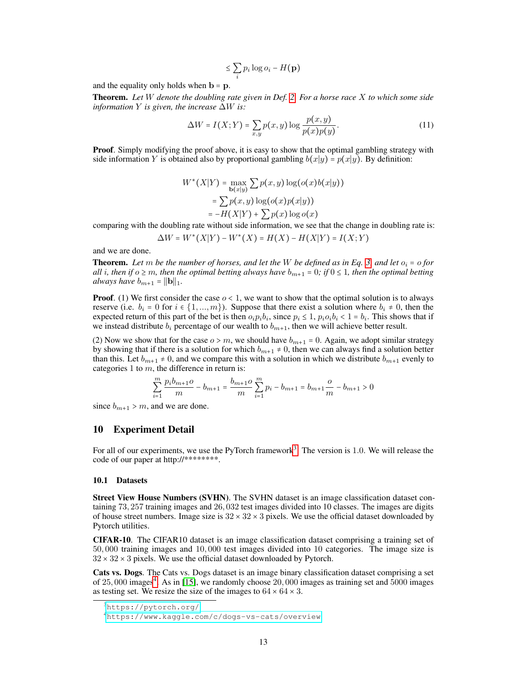$$
\leq \sum_i p_i \log o_i - H(\mathbf{p})
$$

and the equality only holds when  $\mathbf{b} = \mathbf{p}$ .

Theorem. *Let* W *denote the doubling rate given in Def. [2.](#page-3-1) For a horse race* X *to which some side information* Y *is given, the increase* ∆W *is:*

$$
\Delta W = I(X;Y) = \sum_{x,y} p(x,y) \log \frac{p(x,y)}{p(x)p(y)}.\tag{11}
$$

**Proof.** Simply modifying the proof above, it is easy to show that the optimal gambling strategy with side information Y is obtained also by proportional gambling  $b(x|y) = p(x|y)$ . By definition:

$$
W^*(X|Y) = \max_{\mathbf{b}(x|y)} \sum p(x, y) \log(o(x)b(x|y))
$$
  
= 
$$
\sum p(x, y) \log(o(x)p(x|y))
$$
  
= 
$$
-H(X|Y) + \sum p(x) \log o(x)
$$

comparing with the doubling rate without side information, we see that the change in doubling rate is:

$$
\Delta W = W^*(X|Y) - W^*(X) = H(X) - H(X|Y) = I(X;Y)
$$

and we are done.

**Theorem.** Let m be the number of horses, and let the W be defined as in Eq. [3,](#page-3-0) and let  $o_i = o$  for *all i*, then if  $o \ge m$ , then the optimal betting always have  $b_{m+1} = 0$ ; if  $0 \le 1$ , then the optimal betting *always have*  $b_{m+1} = ||\mathbf{b}||_1$ .

**Proof.** (1) We first consider the case  $o < 1$ , we want to show that the optimal solution is to always reserve (i.e.  $b_i = 0$  for  $i \in \{1, ..., m\}$ ). Suppose that there exist a solution where  $b_i \neq 0$ , then the expected return of this part of the bet is then  $o_i p_i b_i$ , since  $p_i \le 1$ ,  $p_i o_i b_i < 1 = b_i$ . This shows that if we instead distribute  $b_i$  percentage of our wealth to  $b_{m+1}$ , then we will achieve better result.

(2) Now we show that for the case  $o > m$ , we should have  $b_{m+1} = 0$ . Again, we adopt similar strategy by showing that if there is a solution for which  $b_{m+1} \neq 0$ , then we can always find a solution better than this. Let  $b_{m+1} \neq 0$ , and we compare this with a solution in which we distribute  $b_{m+1}$  evenly to categories 1 to  $m$ , the difference in return is:

$$
\sum_{i=1}^m {p_i b_{m+1} o \over m} - b_{m+1} = {b_{m+1} o \over m} \sum_{i=1}^m p_i - b_{m+1} = b_{m+1} { o \over m} - b_{m+1} > 0
$$

since  $b_{m+1} > m$ , and we are done.

## 10 Experiment Detail

For all of our experiments, we use the PyTorch framework<sup>[3](#page-12-0)</sup>. The version is 1.0. We will release the code of our paper at http://\*\*\*\*\*\*\*\*.

#### 10.1 Datasets

Street View House Numbers (SVHN). The SVHN dataset is an image classification dataset containing 73, 257 training images and 26, 032 test images divided into 10 classes. The images are digits of house street numbers. Image size is  $32 \times 32 \times 3$  pixels. We use the official dataset downloaded by Pytorch utilities.

CIFAR-10. The CIFAR10 dataset is an image classification dataset comprising a training set of 50, 000 training images and 10, 000 test images divided into 10 categories. The image size is  $32 \times 32 \times 3$  pixels. We use the official dataset downloaded by Pytorch.

Cats vs. Dogs. The Cats vs. Dogs dataset is an image binary classification dataset comprising a set of  $25,000$  images<sup>[4](#page-12-1)</sup>. As in [\[15\]](#page-9-14), we randomly choose  $20,000$  images as training set and  $5000$  images as testing set. We resize the size of the images to  $64 \times 64 \times 3$ .

<span id="page-12-0"></span><sup>3</sup><https://pytorch.org/>

<span id="page-12-1"></span><sup>4</sup><https://www.kaggle.com/c/dogs-vs-cats/overview>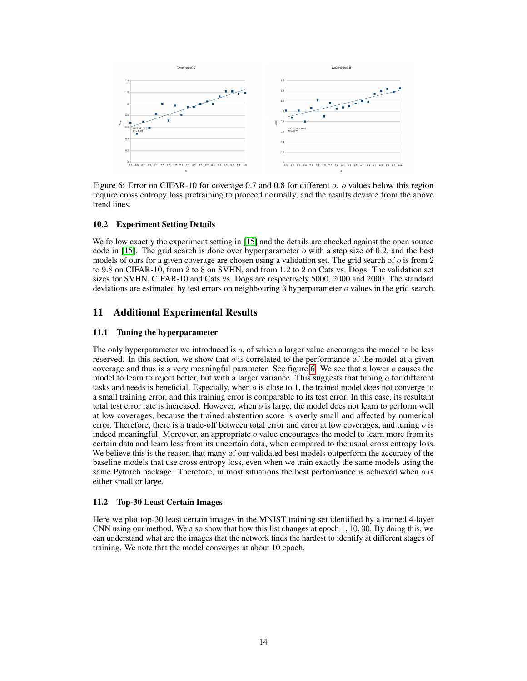<span id="page-13-1"></span>

Figure 6: Error on CIFAR-10 for coverage 0.7 and 0.8 for different *o. o* values below this region require cross entropy loss pretraining to proceed normally, and the results deviate from the above trend lines.

#### 10.2 Experiment Setting Details

We follow exactly the experiment setting in [\[15\]](#page-9-14) and the details are checked against the open source code in [\[15\]](#page-9-14). The grid search is done over hyperparameter  $\sigma$  with a step size of 0.2, and the best models of ours for a given coverage are chosen using a validation set. The grid search of  $\sigma$  is from 2 to 9.8 on CIFAR-10, from 2 to 8 on SVHN, and from 1.2 to 2 on Cats vs. Dogs. The validation set sizes for SVHN, CIFAR-10 and Cats vs. Dogs are respectively 5000, 2000 and 2000. The standard deviations are estimated by test errors on neighbouring 3 hyperparameter o values in the grid search.

# 11 Additional Experimental Results

#### <span id="page-13-0"></span>11.1 Tuning the hyperparameter

The only hyperparameter we introduced is  $\rho$ , of which a larger value encourages the model to be less reserved. In this section, we show that  $\sigma$  is correlated to the performance of the model at a given coverage and thus is a very meaningful parameter. See figure [6.](#page-13-1) We see that a lower  $o$  causes the model to learn to reject better, but with a larger variance. This suggests that tuning  $\sigma$  for different tasks and needs is beneficial. Especially, when  $o$  is close to 1, the trained model does not converge to a small training error, and this training error is comparable to its test error. In this case, its resultant total test error rate is increased. However, when  $o$  is large, the model does not learn to perform well at low coverages, because the trained abstention score is overly small and affected by numerical error. Therefore, there is a trade-off between total error and error at low coverages, and tuning  $\sigma$  is indeed meaningful. Moreover, an appropriate  $o$  value encourages the model to learn more from its certain data and learn less from its uncertain data, when compared to the usual cross entropy loss. We believe this is the reason that many of our validated best models outperform the accuracy of the baseline models that use cross entropy loss, even when we train exactly the same models using the same Pytorch package. Therefore, in most situations the best performance is achieved when  $\sigma$  is either small or large.

#### 11.2 Top-30 Least Certain Images

Here we plot top-30 least certain images in the MNIST training set identified by a trained 4-layer CNN using our method. We also show that how this list changes at epoch 1, 10, 30. By doing this, we can understand what are the images that the network finds the hardest to identify at different stages of training. We note that the model converges at about 10 epoch.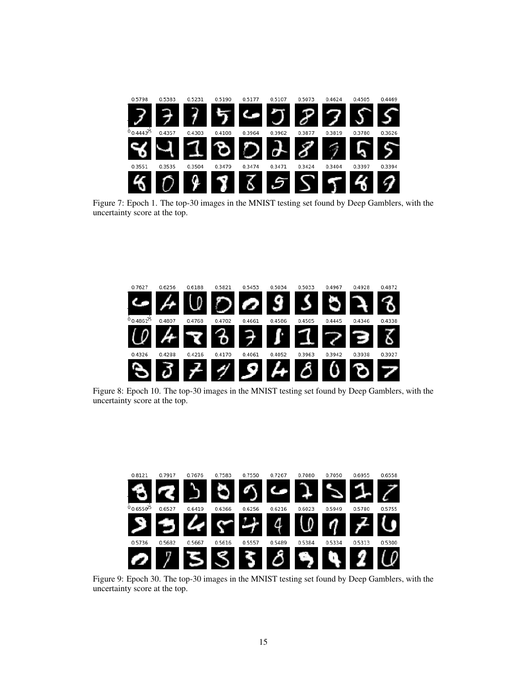

Figure 7: Epoch 1. The top-30 images in the MNIST testing set found by Deep Gamblers, with the uncertainty score at the top.



Figure 8: Epoch 10. The top-30 images in the MNIST testing set found by Deep Gamblers, with the uncertainty score at the top.



Figure 9: Epoch 30. The top-30 images in the MNIST testing set found by Deep Gamblers, with the uncertainty score at the top.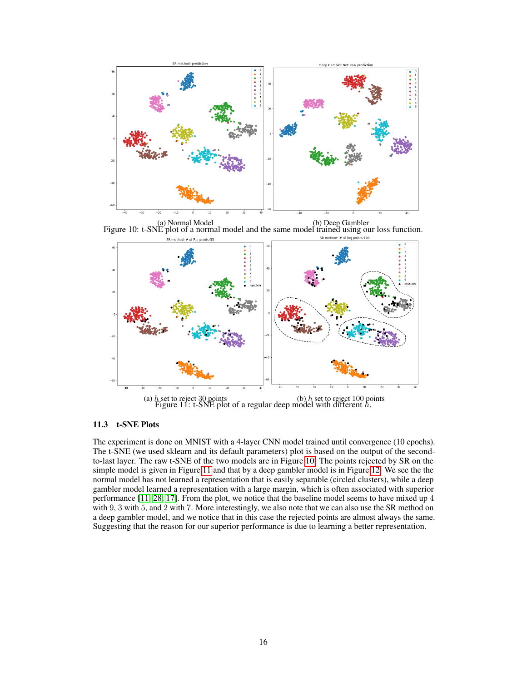<span id="page-15-0"></span>

<span id="page-15-1"></span>(a) Normal Model (b) Deep Gambler Figure 10: t-SNE plot of a normal model and the same model trained using our loss function. SR method: # of Rej points:100 SR method: # of Rej points:33



(a) h set to reject 30 points (b) h set to reject 100 points (a) h set to reject 100 points  $\frac{1}{2}$  Figure 11: t-SNE plot of a regular deep model with different h.

# 11.3 t-SNE Plots

The experiment is done on MNIST with a 4-layer CNN model trained until convergence (10 epochs). The t-SNE (we used sklearn and its default parameters) plot is based on the output of the secondto-last layer. The raw t-SNE of the two models are in Figure [10.](#page-15-0) The points rejected by SR on the simple model is given in Figure [11](#page-15-1) and that by a deep gambler model is in Figure [12.](#page-16-0) We see the the normal model has not learned a representation that is easily separable (circled clusters), while a deep gambler model learned a representation with a large margin, which is often associated with superior performance [\[11,](#page-8-10) [28,](#page-9-19) [17\]](#page-9-20). From the plot, we notice that the baseline model seems to have mixed up 4 with 9, 3 with 5, and 2 with 7. More interestingly, we also note that we can also use the SR method on a deep gambler model, and we notice that in this case the rejected points are almost always the same. Suggesting that the reason for our superior performance is due to learning a better representation.